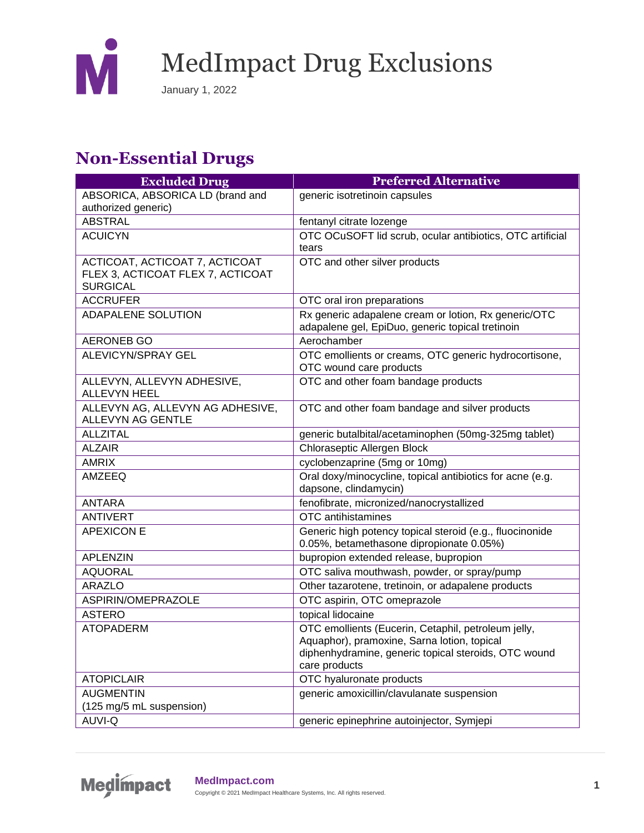

#### **Non-Essential Drugs**

| <b>Excluded Drug</b>              | <b>Preferred Alternative</b>                                                     |
|-----------------------------------|----------------------------------------------------------------------------------|
| ABSORICA, ABSORICA LD (brand and  | generic isotretinoin capsules                                                    |
| authorized generic)               |                                                                                  |
| <b>ABSTRAL</b>                    | fentanyl citrate lozenge                                                         |
| <b>ACUICYN</b>                    | OTC OCuSOFT lid scrub, ocular antibiotics, OTC artificial                        |
|                                   | tears                                                                            |
| ACTICOAT, ACTICOAT 7, ACTICOAT    | OTC and other silver products                                                    |
| FLEX 3, ACTICOAT FLEX 7, ACTICOAT |                                                                                  |
| <b>SURGICAL</b>                   |                                                                                  |
| <b>ACCRUFER</b>                   | OTC oral iron preparations                                                       |
| <b>ADAPALENE SOLUTION</b>         | Rx generic adapalene cream or lotion, Rx generic/OTC                             |
|                                   | adapalene gel, EpiDuo, generic topical tretinoin                                 |
| <b>AERONEB GO</b>                 | Aerochamber                                                                      |
| <b>ALEVICYN/SPRAY GEL</b>         | OTC emollients or creams, OTC generic hydrocortisone,<br>OTC wound care products |
| ALLEVYN, ALLEVYN ADHESIVE,        | OTC and other foam bandage products                                              |
| <b>ALLEVYN HEEL</b>               |                                                                                  |
| ALLEVYN AG, ALLEVYN AG ADHESIVE,  | OTC and other foam bandage and silver products                                   |
| ALLEVYN AG GENTLE                 |                                                                                  |
| <b>ALLZITAL</b>                   | generic butalbital/acetaminophen (50mg-325mg tablet)                             |
| <b>ALZAIR</b>                     | Chloraseptic Allergen Block                                                      |
| <b>AMRIX</b>                      | cyclobenzaprine (5mg or 10mg)                                                    |
| <b>AMZEEQ</b>                     | Oral doxy/minocycline, topical antibiotics for acne (e.g.                        |
|                                   | dapsone, clindamycin)                                                            |
| <b>ANTARA</b>                     | fenofibrate, micronized/nanocrystallized                                         |
| <b>ANTIVERT</b>                   | OTC antihistamines                                                               |
| <b>APEXICON E</b>                 | Generic high potency topical steroid (e.g., fluocinonide                         |
|                                   | 0.05%, betamethasone dipropionate 0.05%)                                         |
| <b>APLENZIN</b>                   | bupropion extended release, bupropion                                            |
| <b>AQUORAL</b>                    | OTC saliva mouthwash, powder, or spray/pump                                      |
| <b>ARAZLO</b>                     | Other tazarotene, tretinoin, or adapalene products                               |
| ASPIRIN/OMEPRAZOLE                | OTC aspirin, OTC omeprazole                                                      |
| <b>ASTERO</b>                     | topical lidocaine                                                                |
| <b>ATOPADERM</b>                  | OTC emollients (Eucerin, Cetaphil, petroleum jelly,                              |
|                                   | Aquaphor), pramoxine, Sarna lotion, topical                                      |
|                                   | diphenhydramine, generic topical steroids, OTC wound                             |
| <b>ATOPICLAIR</b>                 | care products<br>OTC hyaluronate products                                        |
| <b>AUGMENTIN</b>                  | generic amoxicillin/clavulanate suspension                                       |
| (125 mg/5 mL suspension)          |                                                                                  |
| AUVI-Q                            |                                                                                  |
|                                   | generic epinephrine autoinjector, Symjepi                                        |

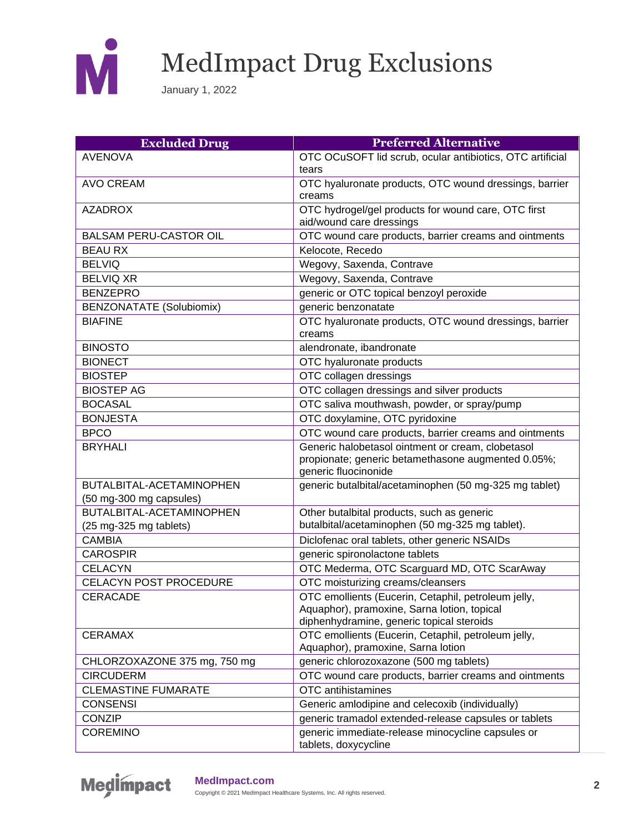

| <b>Excluded Drug</b>            | <b>Preferred Alternative</b>                                                                                                                    |
|---------------------------------|-------------------------------------------------------------------------------------------------------------------------------------------------|
| <b>AVENOVA</b>                  | OTC OCuSOFT lid scrub, ocular antibiotics, OTC artificial                                                                                       |
|                                 | tears                                                                                                                                           |
| <b>AVO CREAM</b>                | OTC hyaluronate products, OTC wound dressings, barrier                                                                                          |
|                                 | creams                                                                                                                                          |
| <b>AZADROX</b>                  | OTC hydrogel/gel products for wound care, OTC first                                                                                             |
|                                 | aid/wound care dressings                                                                                                                        |
| <b>BALSAM PERU-CASTOR OIL</b>   | OTC wound care products, barrier creams and ointments                                                                                           |
| <b>BEAU RX</b>                  | Kelocote, Recedo                                                                                                                                |
| <b>BELVIQ</b>                   | Wegovy, Saxenda, Contrave                                                                                                                       |
| <b>BELVIQ XR</b>                | Wegovy, Saxenda, Contrave                                                                                                                       |
| <b>BENZEPRO</b>                 | generic or OTC topical benzoyl peroxide                                                                                                         |
| <b>BENZONATATE (Solubiomix)</b> | generic benzonatate                                                                                                                             |
| <b>BIAFINE</b>                  | OTC hyaluronate products, OTC wound dressings, barrier<br>creams                                                                                |
| <b>BINOSTO</b>                  | alendronate, ibandronate                                                                                                                        |
| <b>BIONECT</b>                  | OTC hyaluronate products                                                                                                                        |
| <b>BIOSTEP</b>                  | OTC collagen dressings                                                                                                                          |
| <b>BIOSTEP AG</b>               | OTC collagen dressings and silver products                                                                                                      |
| <b>BOCASAL</b>                  | OTC saliva mouthwash, powder, or spray/pump                                                                                                     |
| <b>BONJESTA</b>                 | OTC doxylamine, OTC pyridoxine                                                                                                                  |
| <b>BPCO</b>                     | OTC wound care products, barrier creams and ointments                                                                                           |
| <b>BRYHALI</b>                  | Generic halobetasol ointment or cream, clobetasol<br>propionate; generic betamethasone augmented 0.05%;<br>generic fluocinonide                 |
| BUTALBITAL-ACETAMINOPHEN        | generic butalbital/acetaminophen (50 mg-325 mg tablet)                                                                                          |
| (50 mg-300 mg capsules)         |                                                                                                                                                 |
| BUTALBITAL-ACETAMINOPHEN        | Other butalbital products, such as generic                                                                                                      |
| (25 mg-325 mg tablets)          | butalbital/acetaminophen (50 mg-325 mg tablet).                                                                                                 |
| <b>CAMBIA</b>                   | Diclofenac oral tablets, other generic NSAIDs                                                                                                   |
| <b>CAROSPIR</b>                 | generic spironolactone tablets                                                                                                                  |
| <b>CELACYN</b>                  | OTC Mederma, OTC Scarguard MD, OTC ScarAway                                                                                                     |
| CELACYN POST PROCEDURE          | OTC moisturizing creams/cleansers                                                                                                               |
| <b>CERACADE</b>                 | OTC emollients (Eucerin, Cetaphil, petroleum jelly,<br>Aquaphor), pramoxine, Sarna lotion, topical<br>diphenhydramine, generic topical steroids |
| <b>CERAMAX</b>                  | OTC emollients (Eucerin, Cetaphil, petroleum jelly,<br>Aquaphor), pramoxine, Sarna lotion                                                       |
| CHLORZOXAZONE 375 mg, 750 mg    | generic chlorozoxazone (500 mg tablets)                                                                                                         |
| <b>CIRCUDERM</b>                | OTC wound care products, barrier creams and ointments                                                                                           |
| <b>CLEMASTINE FUMARATE</b>      | OTC antihistamines                                                                                                                              |
| <b>CONSENSI</b>                 | Generic amlodipine and celecoxib (individually)                                                                                                 |
| <b>CONZIP</b>                   |                                                                                                                                                 |
| <b>COREMINO</b>                 | generic immediate-release minocycline capsules or                                                                                               |
|                                 | generic tramadol extended-release capsules or tablets<br>tablets, doxycycline                                                                   |

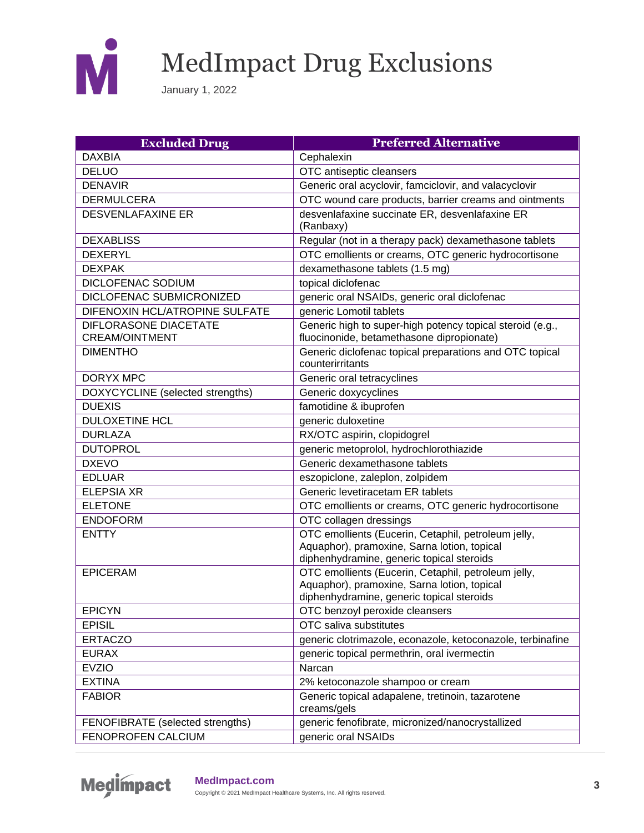

| <b>Excluded Drug</b>                           | <b>Preferred Alternative</b>                                                                                                                    |
|------------------------------------------------|-------------------------------------------------------------------------------------------------------------------------------------------------|
| <b>DAXBIA</b>                                  | Cephalexin                                                                                                                                      |
| <b>DELUO</b>                                   | OTC antiseptic cleansers                                                                                                                        |
| <b>DENAVIR</b>                                 | Generic oral acyclovir, famciclovir, and valacyclovir                                                                                           |
| <b>DERMULCERA</b>                              | OTC wound care products, barrier creams and ointments                                                                                           |
| <b>DESVENLAFAXINE ER</b>                       | desvenlafaxine succinate ER, desvenlafaxine ER                                                                                                  |
|                                                | (Ranbaxy)                                                                                                                                       |
| <b>DEXABLISS</b>                               | Regular (not in a therapy pack) dexamethasone tablets                                                                                           |
| <b>DEXERYL</b>                                 | OTC emollients or creams, OTC generic hydrocortisone                                                                                            |
| <b>DEXPAK</b>                                  | dexamethasone tablets (1.5 mg)                                                                                                                  |
| <b>DICLOFENAC SODIUM</b>                       | topical diclofenac                                                                                                                              |
| DICLOFENAC SUBMICRONIZED                       | generic oral NSAIDs, generic oral diclofenac                                                                                                    |
| DIFENOXIN HCL/ATROPINE SULFATE                 | generic Lomotil tablets                                                                                                                         |
| DIFLORASONE DIACETATE<br><b>CREAM/OINTMENT</b> | Generic high to super-high potency topical steroid (e.g.,<br>fluocinonide, betamethasone dipropionate)                                          |
| <b>DIMENTHO</b>                                | Generic diclofenac topical preparations and OTC topical<br>counterirritants                                                                     |
| <b>DORYX MPC</b>                               | Generic oral tetracyclines                                                                                                                      |
| DOXYCYCLINE (selected strengths)               | Generic doxycyclines                                                                                                                            |
| <b>DUEXIS</b>                                  | famotidine & ibuprofen                                                                                                                          |
| <b>DULOXETINE HCL</b>                          | generic duloxetine                                                                                                                              |
| <b>DURLAZA</b>                                 | RX/OTC aspirin, clopidogrel                                                                                                                     |
| <b>DUTOPROL</b>                                | generic metoprolol, hydrochlorothiazide                                                                                                         |
| <b>DXEVO</b>                                   | Generic dexamethasone tablets                                                                                                                   |
| <b>EDLUAR</b>                                  | eszopiclone, zaleplon, zolpidem                                                                                                                 |
| <b>ELEPSIA XR</b>                              | Generic levetiracetam ER tablets                                                                                                                |
| <b>ELETONE</b>                                 | OTC emollients or creams, OTC generic hydrocortisone                                                                                            |
| <b>ENDOFORM</b>                                | OTC collagen dressings                                                                                                                          |
| <b>ENTTY</b>                                   | OTC emollients (Eucerin, Cetaphil, petroleum jelly,<br>Aquaphor), pramoxine, Sarna lotion, topical<br>diphenhydramine, generic topical steroids |
| <b>EPICERAM</b>                                | OTC emollients (Eucerin, Cetaphil, petroleum jelly,<br>Aquaphor), pramoxine, Sarna lotion, topical<br>diphenhydramine, generic topical steroids |
| <b>EPICYN</b>                                  | OTC benzoyl peroxide cleansers                                                                                                                  |
| <b>EPISIL</b>                                  | OTC saliva substitutes                                                                                                                          |
| <b>ERTACZO</b>                                 | generic clotrimazole, econazole, ketoconazole, terbinafine                                                                                      |
| <b>EURAX</b>                                   | generic topical permethrin, oral ivermectin                                                                                                     |
| <b>EVZIO</b>                                   | Narcan                                                                                                                                          |
| <b>EXTINA</b>                                  | 2% ketoconazole shampoo or cream                                                                                                                |
| <b>FABIOR</b>                                  | Generic topical adapalene, tretinoin, tazarotene<br>creams/gels                                                                                 |
| FENOFIBRATE (selected strengths)               | generic fenofibrate, micronized/nanocrystallized                                                                                                |
| <b>FENOPROFEN CALCIUM</b>                      | generic oral NSAIDs                                                                                                                             |

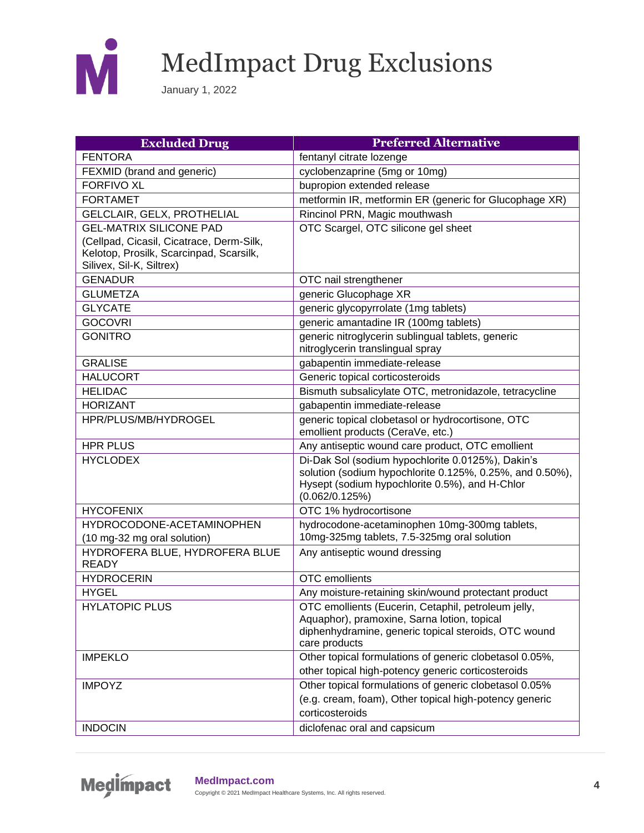

| <b>Excluded Drug</b>                     | <b>Preferred Alternative</b>                                                                               |
|------------------------------------------|------------------------------------------------------------------------------------------------------------|
| <b>FENTORA</b>                           | fentanyl citrate lozenge                                                                                   |
| FEXMID (brand and generic)               | cyclobenzaprine (5mg or 10mg)                                                                              |
| <b>FORFIVO XL</b>                        | bupropion extended release                                                                                 |
| <b>FORTAMET</b>                          | metformin IR, metformin ER (generic for Glucophage XR)                                                     |
| GELCLAIR, GELX, PROTHELIAL               | Rincinol PRN, Magic mouthwash                                                                              |
| <b>GEL-MATRIX SILICONE PAD</b>           | OTC Scargel, OTC silicone gel sheet                                                                        |
| (Cellpad, Cicasil, Cicatrace, Derm-Silk, |                                                                                                            |
| Kelotop, Prosilk, Scarcinpad, Scarsilk,  |                                                                                                            |
| Silivex, Sil-K, Siltrex)                 |                                                                                                            |
| <b>GENADUR</b>                           | OTC nail strengthener                                                                                      |
| <b>GLUMETZA</b>                          | generic Glucophage XR                                                                                      |
| <b>GLYCATE</b>                           | generic glycopyrrolate (1mg tablets)                                                                       |
| <b>GOCOVRI</b>                           | generic amantadine IR (100mg tablets)                                                                      |
| <b>GONITRO</b>                           | generic nitroglycerin sublingual tablets, generic                                                          |
|                                          | nitroglycerin translingual spray                                                                           |
| <b>GRALISE</b>                           | gabapentin immediate-release                                                                               |
| <b>HALUCORT</b>                          | Generic topical corticosteroids                                                                            |
| <b>HELIDAC</b>                           | Bismuth subsalicylate OTC, metronidazole, tetracycline                                                     |
| <b>HORIZANT</b>                          | gabapentin immediate-release                                                                               |
| HPR/PLUS/MB/HYDROGEL                     | generic topical clobetasol or hydrocortisone, OTC                                                          |
|                                          | emollient products (CeraVe, etc.)                                                                          |
| <b>HPR PLUS</b>                          | Any antiseptic wound care product, OTC emollient                                                           |
| <b>HYCLODEX</b>                          | Di-Dak Sol (sodium hypochlorite 0.0125%), Dakin's                                                          |
|                                          | solution (sodium hypochlorite 0.125%, 0.25%, and 0.50%),<br>Hysept (sodium hypochlorite 0.5%), and H-Chlor |
|                                          | (0.062/0.125%)                                                                                             |
| <b>HYCOFENIX</b>                         | OTC 1% hydrocortisone                                                                                      |
| HYDROCODONE-ACETAMINOPHEN                | hydrocodone-acetaminophen 10mg-300mg tablets,                                                              |
| (10 mg-32 mg oral solution)              | 10mg-325mg tablets, 7.5-325mg oral solution                                                                |
| HYDROFERA BLUE, HYDROFERA BLUE           | Any antiseptic wound dressing                                                                              |
| <b>READY</b>                             |                                                                                                            |
| <b>HYDROCERIN</b>                        | OTC emollients                                                                                             |
| <b>HYGEL</b>                             | Any moisture-retaining skin/wound protectant product                                                       |
| <b>HYLATOPIC PLUS</b>                    | OTC emollients (Eucerin, Cetaphil, petroleum jelly,                                                        |
|                                          | Aquaphor), pramoxine, Sarna lotion, topical                                                                |
|                                          | diphenhydramine, generic topical steroids, OTC wound                                                       |
|                                          | care products                                                                                              |
| <b>IMPEKLO</b>                           | Other topical formulations of generic clobetasol 0.05%,                                                    |
|                                          | other topical high-potency generic corticosteroids                                                         |
| <b>IMPOYZ</b>                            | Other topical formulations of generic clobetasol 0.05%                                                     |
|                                          | (e.g. cream, foam), Other topical high-potency generic                                                     |
|                                          | corticosteroids                                                                                            |
| <b>INDOCIN</b>                           | diclofenac oral and capsicum                                                                               |

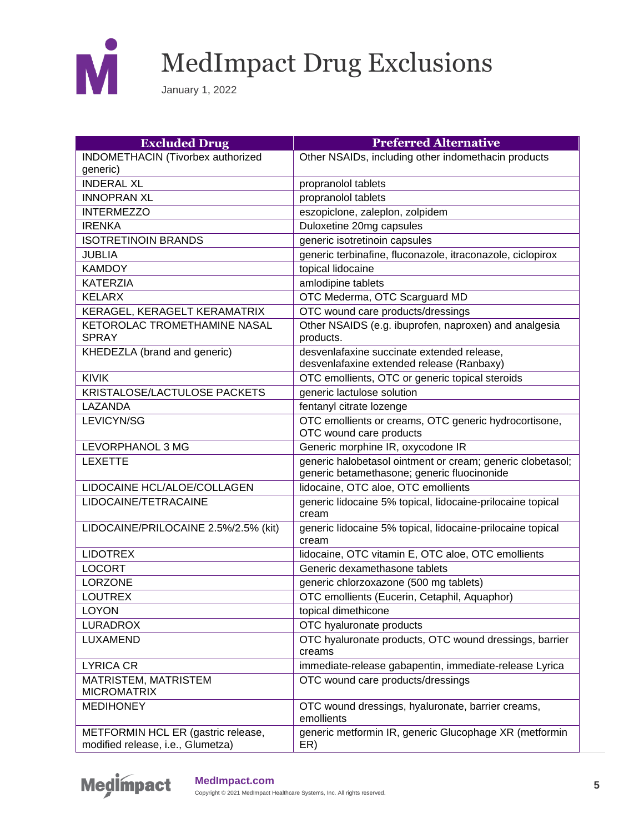

| <b>Excluded Drug</b>                                                    | <b>Preferred Alternative</b>                                                                              |
|-------------------------------------------------------------------------|-----------------------------------------------------------------------------------------------------------|
| INDOMETHACIN (Tivorbex authorized                                       | Other NSAIDs, including other indomethacin products                                                       |
| generic)                                                                |                                                                                                           |
| <b>INDERAL XL</b>                                                       | propranolol tablets                                                                                       |
| <b>INNOPRAN XL</b>                                                      | propranolol tablets                                                                                       |
| <b>INTERMEZZO</b>                                                       | eszopiclone, zaleplon, zolpidem                                                                           |
| <b>IRENKA</b>                                                           | Duloxetine 20mg capsules                                                                                  |
| <b>ISOTRETINOIN BRANDS</b>                                              | generic isotretinoin capsules                                                                             |
| <b>JUBLIA</b>                                                           | generic terbinafine, fluconazole, itraconazole, ciclopirox                                                |
| <b>KAMDOY</b>                                                           | topical lidocaine                                                                                         |
| <b>KATERZIA</b>                                                         | amlodipine tablets                                                                                        |
| <b>KELARX</b>                                                           | OTC Mederma, OTC Scarguard MD                                                                             |
| KERAGEL, KERAGELT KERAMATRIX                                            | OTC wound care products/dressings                                                                         |
| KETOROLAC TROMETHAMINE NASAL<br><b>SPRAY</b>                            | Other NSAIDS (e.g. ibuprofen, naproxen) and analgesia<br>products.                                        |
| KHEDEZLA (brand and generic)                                            | desvenlafaxine succinate extended release,<br>desvenlafaxine extended release (Ranbaxy)                   |
| <b>KIVIK</b>                                                            | OTC emollients, OTC or generic topical steroids                                                           |
| KRISTALOSE/LACTULOSE PACKETS                                            | generic lactulose solution                                                                                |
| LAZANDA                                                                 | fentanyl citrate lozenge                                                                                  |
| LEVICYN/SG                                                              | OTC emollients or creams, OTC generic hydrocortisone,<br>OTC wound care products                          |
| LEVORPHANOL 3 MG                                                        | Generic morphine IR, oxycodone IR                                                                         |
| <b>LEXETTE</b>                                                          | generic halobetasol ointment or cream; generic clobetasol;<br>generic betamethasone; generic fluocinonide |
| LIDOCAINE HCL/ALOE/COLLAGEN                                             | lidocaine, OTC aloe, OTC emollients                                                                       |
| LIDOCAINE/TETRACAINE                                                    | generic lidocaine 5% topical, lidocaine-prilocaine topical<br>cream                                       |
| LIDOCAINE/PRILOCAINE 2.5%/2.5% (kit)                                    | generic lidocaine 5% topical, lidocaine-prilocaine topical<br>cream                                       |
| <b>LIDOTREX</b>                                                         | lidocaine, OTC vitamin E, OTC aloe, OTC emollients                                                        |
| <b>LOCORT</b>                                                           | Generic dexamethasone tablets                                                                             |
| <b>LORZONE</b>                                                          | generic chlorzoxazone (500 mg tablets)                                                                    |
| <b>LOUTREX</b>                                                          | OTC emollients (Eucerin, Cetaphil, Aquaphor)                                                              |
| <b>LOYON</b>                                                            | topical dimethicone                                                                                       |
| <b>LURADROX</b>                                                         | OTC hyaluronate products                                                                                  |
| LUXAMEND                                                                | OTC hyaluronate products, OTC wound dressings, barrier<br>creams                                          |
| <b>LYRICA CR</b>                                                        | immediate-release gabapentin, immediate-release Lyrica                                                    |
| MATRISTEM, MATRISTEM<br><b>MICROMATRIX</b>                              | OTC wound care products/dressings                                                                         |
| <b>MEDIHONEY</b>                                                        | OTC wound dressings, hyaluronate, barrier creams,<br>emollients                                           |
| METFORMIN HCL ER (gastric release,<br>modified release, i.e., Glumetza) | generic metformin IR, generic Glucophage XR (metformin<br>ER)                                             |

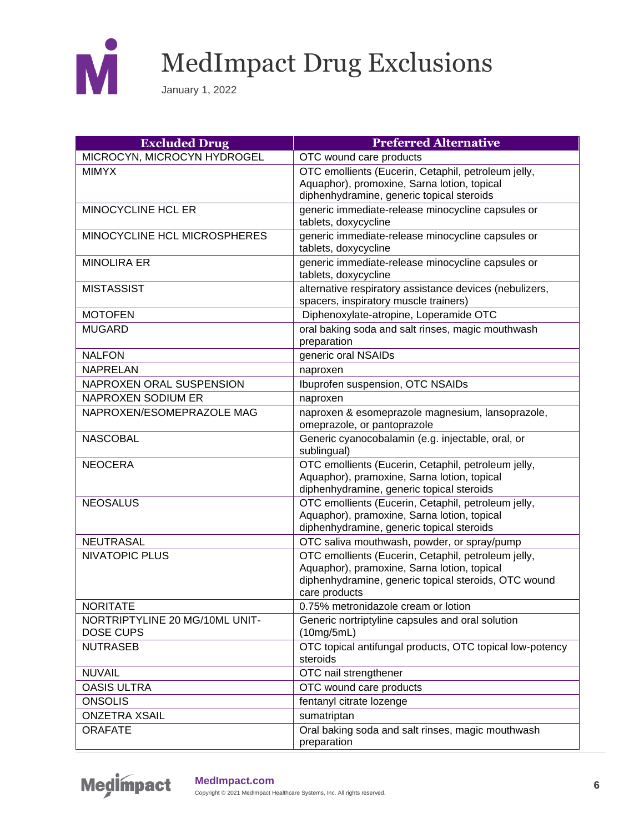

| <b>Excluded Drug</b>                               | <b>Preferred Alternative</b>                                                                                                                                                |
|----------------------------------------------------|-----------------------------------------------------------------------------------------------------------------------------------------------------------------------------|
| MICROCYN, MICROCYN HYDROGEL                        | OTC wound care products                                                                                                                                                     |
| <b>MIMYX</b>                                       | OTC emollients (Eucerin, Cetaphil, petroleum jelly,<br>Aquaphor), promoxine, Sarna lotion, topical<br>diphenhydramine, generic topical steroids                             |
| <b>MINOCYCLINE HCL ER</b>                          | generic immediate-release minocycline capsules or<br>tablets, doxycycline                                                                                                   |
| MINOCYCLINE HCL MICROSPHERES                       | generic immediate-release minocycline capsules or<br>tablets, doxycycline                                                                                                   |
| <b>MINOLIRA ER</b>                                 | generic immediate-release minocycline capsules or<br>tablets, doxycycline                                                                                                   |
| <b>MISTASSIST</b>                                  | alternative respiratory assistance devices (nebulizers,<br>spacers, inspiratory muscle trainers)                                                                            |
| <b>MOTOFEN</b>                                     | Diphenoxylate-atropine, Loperamide OTC                                                                                                                                      |
| <b>MUGARD</b>                                      | oral baking soda and salt rinses, magic mouthwash<br>preparation                                                                                                            |
| <b>NALFON</b>                                      | generic oral NSAIDs                                                                                                                                                         |
| <b>NAPRELAN</b>                                    | naproxen                                                                                                                                                                    |
| NAPROXEN ORAL SUSPENSION                           | Ibuprofen suspension, OTC NSAIDs                                                                                                                                            |
| NAPROXEN SODIUM ER                                 | naproxen                                                                                                                                                                    |
| NAPROXEN/ESOMEPRAZOLE MAG                          | naproxen & esomeprazole magnesium, lansoprazole,<br>omeprazole, or pantoprazole                                                                                             |
| <b>NASCOBAL</b>                                    | Generic cyanocobalamin (e.g. injectable, oral, or<br>sublingual)                                                                                                            |
| <b>NEOCERA</b>                                     | OTC emollients (Eucerin, Cetaphil, petroleum jelly,<br>Aquaphor), pramoxine, Sarna lotion, topical<br>diphenhydramine, generic topical steroids                             |
| <b>NEOSALUS</b>                                    | OTC emollients (Eucerin, Cetaphil, petroleum jelly,<br>Aquaphor), pramoxine, Sarna lotion, topical<br>diphenhydramine, generic topical steroids                             |
| <b>NEUTRASAL</b>                                   | OTC saliva mouthwash, powder, or spray/pump                                                                                                                                 |
| <b>NIVATOPIC PLUS</b>                              | OTC emollients (Eucerin, Cetaphil, petroleum jelly,<br>Aquaphor), pramoxine, Sarna lotion, topical<br>diphenhydramine, generic topical steroids, OTC wound<br>care products |
| <b>NORITATE</b>                                    | 0.75% metronidazole cream or lotion                                                                                                                                         |
| NORTRIPTYLINE 20 MG/10ML UNIT-<br><b>DOSE CUPS</b> | Generic nortriptyline capsules and oral solution<br>(10mg/5mL)                                                                                                              |
| <b>NUTRASEB</b>                                    | OTC topical antifungal products, OTC topical low-potency<br>steroids                                                                                                        |
| <b>NUVAIL</b>                                      | OTC nail strengthener                                                                                                                                                       |
| <b>OASIS ULTRA</b>                                 | OTC wound care products                                                                                                                                                     |
| <b>ONSOLIS</b>                                     | fentanyl citrate lozenge                                                                                                                                                    |
| <b>ONZETRA XSAIL</b>                               | sumatriptan                                                                                                                                                                 |
| <b>ORAFATE</b>                                     | Oral baking soda and salt rinses, magic mouthwash<br>preparation                                                                                                            |

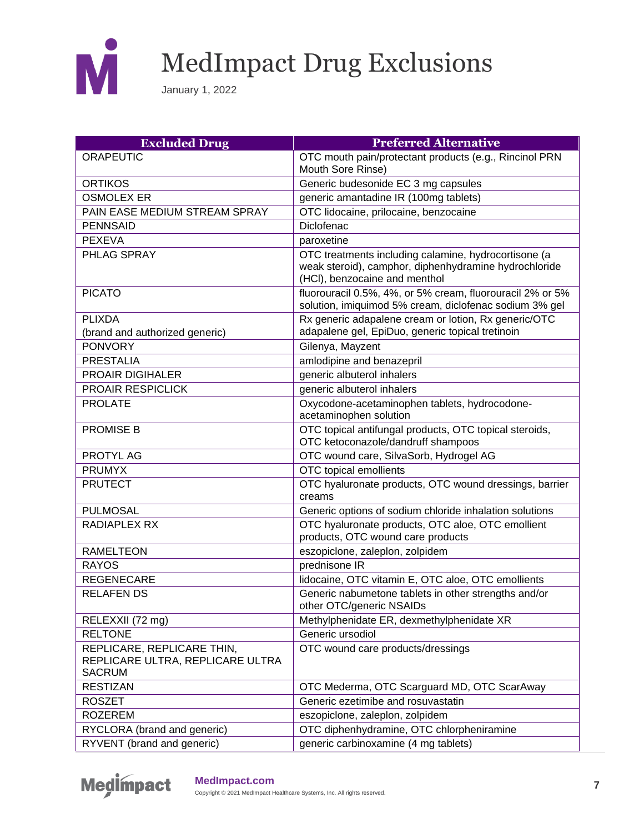

| <b>Excluded Drug</b>                                                            | <b>Preferred Alternative</b>                                                                                                                   |
|---------------------------------------------------------------------------------|------------------------------------------------------------------------------------------------------------------------------------------------|
| <b>ORAPEUTIC</b>                                                                | OTC mouth pain/protectant products (e.g., Rincinol PRN                                                                                         |
|                                                                                 | Mouth Sore Rinse)                                                                                                                              |
| <b>ORTIKOS</b>                                                                  | Generic budesonide EC 3 mg capsules                                                                                                            |
| <b>OSMOLEX ER</b>                                                               | generic amantadine IR (100mg tablets)                                                                                                          |
| PAIN EASE MEDIUM STREAM SPRAY                                                   | OTC lidocaine, prilocaine, benzocaine                                                                                                          |
| <b>PENNSAID</b>                                                                 | Diclofenac                                                                                                                                     |
| <b>PEXEVA</b>                                                                   | paroxetine                                                                                                                                     |
| PHLAG SPRAY                                                                     | OTC treatments including calamine, hydrocortisone (a<br>weak steroid), camphor, diphenhydramine hydrochloride<br>(HCI), benzocaine and menthol |
| <b>PICATO</b>                                                                   | fluorouracil 0.5%, 4%, or 5% cream, fluorouracil 2% or 5%<br>solution, imiquimod 5% cream, diclofenac sodium 3% gel                            |
| <b>PLIXDA</b>                                                                   | Rx generic adapalene cream or lotion, Rx generic/OTC                                                                                           |
| (brand and authorized generic)                                                  | adapalene gel, EpiDuo, generic topical tretinoin                                                                                               |
| <b>PONVORY</b>                                                                  | Gilenya, Mayzent                                                                                                                               |
| <b>PRESTALIA</b>                                                                | amlodipine and benazepril                                                                                                                      |
| <b>PROAIR DIGIHALER</b>                                                         | generic albuterol inhalers                                                                                                                     |
| PROAIR RESPICLICK                                                               | generic albuterol inhalers                                                                                                                     |
| <b>PROLATE</b>                                                                  | Oxycodone-acetaminophen tablets, hydrocodone-<br>acetaminophen solution                                                                        |
| <b>PROMISE B</b>                                                                | OTC topical antifungal products, OTC topical steroids,<br>OTC ketoconazole/dandruff shampoos                                                   |
| <b>PROTYL AG</b>                                                                | OTC wound care, SilvaSorb, Hydrogel AG                                                                                                         |
| <b>PRUMYX</b>                                                                   | OTC topical emollients                                                                                                                         |
| <b>PRUTECT</b>                                                                  | OTC hyaluronate products, OTC wound dressings, barrier<br>creams                                                                               |
| <b>PULMOSAL</b>                                                                 | Generic options of sodium chloride inhalation solutions                                                                                        |
| <b>RADIAPLEX RX</b>                                                             | OTC hyaluronate products, OTC aloe, OTC emollient<br>products, OTC wound care products                                                         |
| <b>RAMELTEON</b>                                                                | eszopiclone, zaleplon, zolpidem                                                                                                                |
| <b>RAYOS</b>                                                                    | prednisone IR                                                                                                                                  |
| <b>REGENECARE</b>                                                               | lidocaine, OTC vitamin E, OTC aloe, OTC emollients                                                                                             |
| <b>RELAFEN DS</b>                                                               | Generic nabumetone tablets in other strengths and/or<br>other OTC/generic NSAIDs                                                               |
| RELEXXII (72 mg)                                                                | Methylphenidate ER, dexmethylphenidate XR                                                                                                      |
| <b>RELTONE</b>                                                                  | Generic ursodiol                                                                                                                               |
| REPLICARE, REPLICARE THIN,<br>REPLICARE ULTRA, REPLICARE ULTRA<br><b>SACRUM</b> | OTC wound care products/dressings                                                                                                              |
| <b>RESTIZAN</b>                                                                 | OTC Mederma, OTC Scarguard MD, OTC ScarAway                                                                                                    |
| <b>ROSZET</b>                                                                   | Generic ezetimibe and rosuvastatin                                                                                                             |
| <b>ROZEREM</b>                                                                  | eszopiclone, zaleplon, zolpidem                                                                                                                |
| RYCLORA (brand and generic)                                                     | OTC diphenhydramine, OTC chlorpheniramine                                                                                                      |
| RYVENT (brand and generic)                                                      | generic carbinoxamine (4 mg tablets)                                                                                                           |

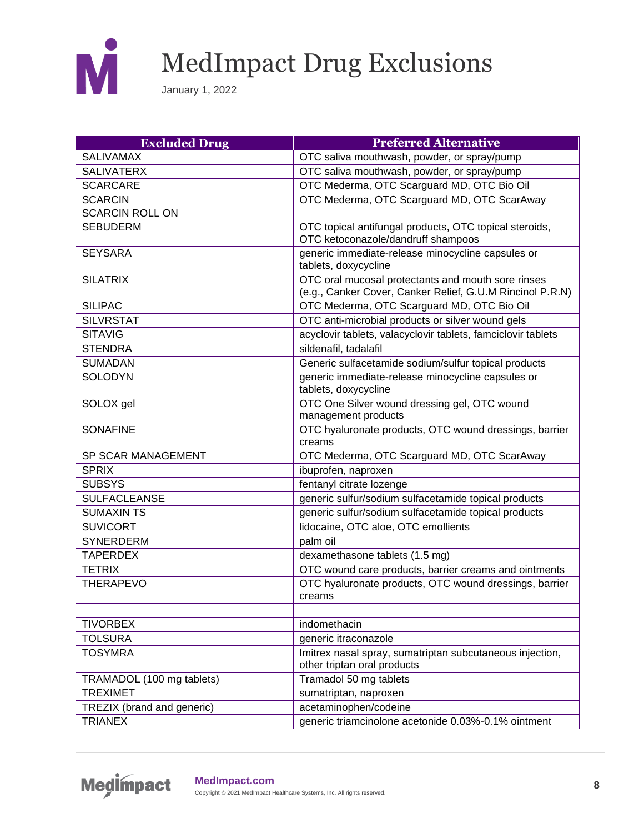

| <b>Excluded Drug</b>       | <b>Preferred Alternative</b>                                                                                    |
|----------------------------|-----------------------------------------------------------------------------------------------------------------|
| <b>SALIVAMAX</b>           | OTC saliva mouthwash, powder, or spray/pump                                                                     |
| <b>SALIVATERX</b>          | OTC saliva mouthwash, powder, or spray/pump                                                                     |
| <b>SCARCARE</b>            | OTC Mederma, OTC Scarguard MD, OTC Bio Oil                                                                      |
| <b>SCARCIN</b>             | OTC Mederma, OTC Scarguard MD, OTC ScarAway                                                                     |
| <b>SCARCIN ROLL ON</b>     |                                                                                                                 |
| <b>SEBUDERM</b>            | OTC topical antifungal products, OTC topical steroids,                                                          |
|                            | OTC ketoconazole/dandruff shampoos                                                                              |
| <b>SEYSARA</b>             | generic immediate-release minocycline capsules or<br>tablets, doxycycline                                       |
| <b>SILATRIX</b>            | OTC oral mucosal protectants and mouth sore rinses<br>(e.g., Canker Cover, Canker Relief, G.U.M Rincinol P.R.N) |
| <b>SILIPAC</b>             | OTC Mederma, OTC Scarguard MD, OTC Bio Oil                                                                      |
| <b>SILVRSTAT</b>           | OTC anti-microbial products or silver wound gels                                                                |
| <b>SITAVIG</b>             | acyclovir tablets, valacyclovir tablets, famciclovir tablets                                                    |
| <b>STENDRA</b>             | sildenafil, tadalafil                                                                                           |
| <b>SUMADAN</b>             | Generic sulfacetamide sodium/sulfur topical products                                                            |
| <b>SOLODYN</b>             | generic immediate-release minocycline capsules or<br>tablets, doxycycline                                       |
| SOLOX gel                  | OTC One Silver wound dressing gel, OTC wound                                                                    |
|                            | management products                                                                                             |
| <b>SONAFINE</b>            | OTC hyaluronate products, OTC wound dressings, barrier<br>creams                                                |
| SP SCAR MANAGEMENT         | OTC Mederma, OTC Scarguard MD, OTC ScarAway                                                                     |
| <b>SPRIX</b>               | ibuprofen, naproxen                                                                                             |
| <b>SUBSYS</b>              | fentanyl citrate lozenge                                                                                        |
| <b>SULFACLEANSE</b>        | generic sulfur/sodium sulfacetamide topical products                                                            |
| <b>SUMAXIN TS</b>          | generic sulfur/sodium sulfacetamide topical products                                                            |
| <b>SUVICORT</b>            | lidocaine, OTC aloe, OTC emollients                                                                             |
| <b>SYNERDERM</b>           | palm oil                                                                                                        |
| <b>TAPERDEX</b>            | dexamethasone tablets (1.5 mg)                                                                                  |
| <b>TETRIX</b>              | OTC wound care products, barrier creams and ointments                                                           |
| <b>THERAPEVO</b>           | OTC hyaluronate products, OTC wound dressings, barrier<br>creams                                                |
| <b>TIVORBEX</b>            | indomethacin                                                                                                    |
| <b>TOLSURA</b>             | generic itraconazole                                                                                            |
| <b>TOSYMRA</b>             | Imitrex nasal spray, sumatriptan subcutaneous injection,<br>other triptan oral products                         |
| TRAMADOL (100 mg tablets)  | Tramadol 50 mg tablets                                                                                          |
| <b>TREXIMET</b>            | sumatriptan, naproxen                                                                                           |
| TREZIX (brand and generic) | acetaminophen/codeine                                                                                           |
| <b>TRIANEX</b>             | generic triamcinolone acetonide 0.03%-0.1% ointment                                                             |

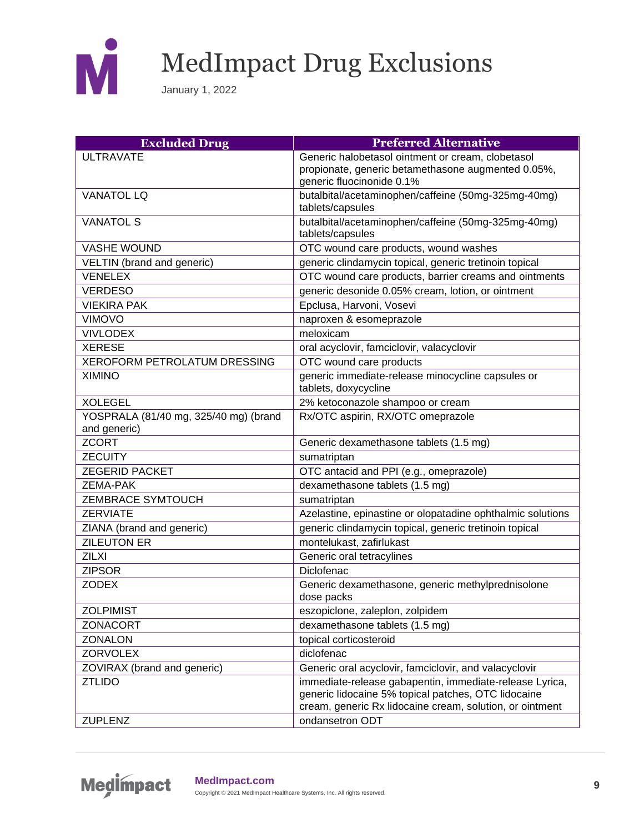

| <b>Excluded Drug</b>                                  | <b>Preferred Alternative</b>                                                                                                                                               |
|-------------------------------------------------------|----------------------------------------------------------------------------------------------------------------------------------------------------------------------------|
| <b>ULTRAVATE</b>                                      | Generic halobetasol ointment or cream, clobetasol                                                                                                                          |
|                                                       | propionate, generic betamethasone augmented 0.05%,<br>generic fluocinonide 0.1%                                                                                            |
| <b>VANATOL LQ</b>                                     | butalbital/acetaminophen/caffeine (50mg-325mg-40mg)<br>tablets/capsules                                                                                                    |
| <b>VANATOL S</b>                                      | butalbital/acetaminophen/caffeine (50mg-325mg-40mg)<br>tablets/capsules                                                                                                    |
| <b>VASHE WOUND</b>                                    | OTC wound care products, wound washes                                                                                                                                      |
| VELTIN (brand and generic)                            | generic clindamycin topical, generic tretinoin topical                                                                                                                     |
| <b>VENELEX</b>                                        | OTC wound care products, barrier creams and ointments                                                                                                                      |
| <b>VERDESO</b>                                        | generic desonide 0.05% cream, lotion, or ointment                                                                                                                          |
| <b>VIEKIRA PAK</b>                                    | Epclusa, Harvoni, Vosevi                                                                                                                                                   |
| <b>VIMOVO</b>                                         | naproxen & esomeprazole                                                                                                                                                    |
| <b>VIVLODEX</b>                                       | meloxicam                                                                                                                                                                  |
| <b>XERESE</b>                                         | oral acyclovir, famciclovir, valacyclovir                                                                                                                                  |
| <b>XEROFORM PETROLATUM DRESSING</b>                   | OTC wound care products                                                                                                                                                    |
| <b>XIMINO</b>                                         | generic immediate-release minocycline capsules or<br>tablets, doxycycline                                                                                                  |
| <b>XOLEGEL</b>                                        | 2% ketoconazole shampoo or cream                                                                                                                                           |
| YOSPRALA (81/40 mg, 325/40 mg) (brand<br>and generic) | Rx/OTC aspirin, RX/OTC omeprazole                                                                                                                                          |
| <b>ZCORT</b>                                          | Generic dexamethasone tablets (1.5 mg)                                                                                                                                     |
| <b>ZECUITY</b>                                        | sumatriptan                                                                                                                                                                |
| <b>ZEGERID PACKET</b>                                 | OTC antacid and PPI (e.g., omeprazole)                                                                                                                                     |
| <b>ZEMA-PAK</b>                                       | dexamethasone tablets (1.5 mg)                                                                                                                                             |
| <b>ZEMBRACE SYMTOUCH</b>                              | sumatriptan                                                                                                                                                                |
| <b>ZERVIATE</b>                                       | Azelastine, epinastine or olopatadine ophthalmic solutions                                                                                                                 |
| ZIANA (brand and generic)                             | generic clindamycin topical, generic tretinoin topical                                                                                                                     |
| <b>ZILEUTON ER</b>                                    | montelukast, zafirlukast                                                                                                                                                   |
| <b>ZILXI</b>                                          | Generic oral tetracylines                                                                                                                                                  |
| <b>ZIPSOR</b>                                         | Diclofenac                                                                                                                                                                 |
| <b>ZODEX</b>                                          | Generic dexamethasone, generic methylprednisolone<br>dose packs                                                                                                            |
| <b>ZOLPIMIST</b>                                      | eszopiclone, zaleplon, zolpidem                                                                                                                                            |
| <b>ZONACORT</b>                                       | dexamethasone tablets (1.5 mg)                                                                                                                                             |
| <b>ZONALON</b>                                        | topical corticosteroid                                                                                                                                                     |
| <b>ZORVOLEX</b>                                       | diclofenac                                                                                                                                                                 |
| ZOVIRAX (brand and generic)                           | Generic oral acyclovir, famciclovir, and valacyclovir                                                                                                                      |
| <b>ZTLIDO</b>                                         | immediate-release gabapentin, immediate-release Lyrica,<br>generic lidocaine 5% topical patches, OTC lidocaine<br>cream, generic Rx lidocaine cream, solution, or ointment |
| <b>ZUPLENZ</b>                                        | ondansetron ODT                                                                                                                                                            |

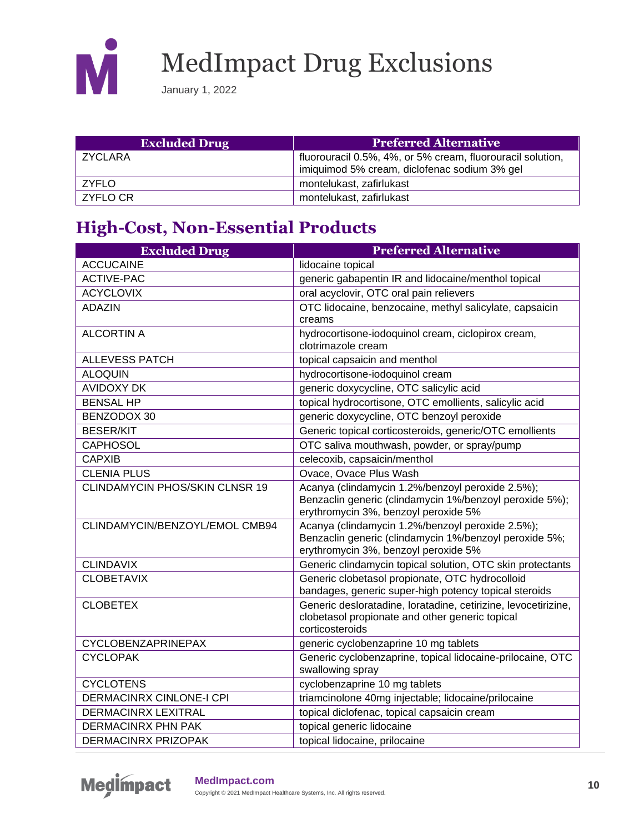

January 1, 2022

| <b>Excluded Drug</b> | <b>Preferred Alternative</b>                                                                               |
|----------------------|------------------------------------------------------------------------------------------------------------|
| ZYCLARA              | fluorouracil 0.5%, 4%, or 5% cream, fluorouracil solution,<br>imiquimod 5% cream, diclofenac sodium 3% gel |
| ZYFLO                | montelukast, zafirlukast                                                                                   |
| ZYFLO CR             | montelukast, zafirlukast                                                                                   |

#### **High-Cost, Non-Essential Products**

| <b>Excluded Drug</b>                  | <b>Preferred Alternative</b>                                                                                                                        |
|---------------------------------------|-----------------------------------------------------------------------------------------------------------------------------------------------------|
| <b>ACCUCAINE</b>                      | lidocaine topical                                                                                                                                   |
| <b>ACTIVE-PAC</b>                     | generic gabapentin IR and lidocaine/menthol topical                                                                                                 |
| <b>ACYCLOVIX</b>                      | oral acyclovir, OTC oral pain relievers                                                                                                             |
| <b>ADAZIN</b>                         | OTC lidocaine, benzocaine, methyl salicylate, capsaicin<br>creams                                                                                   |
| <b>ALCORTIN A</b>                     | hydrocortisone-iodoquinol cream, ciclopirox cream,<br>clotrimazole cream                                                                            |
| <b>ALLEVESS PATCH</b>                 | topical capsaicin and menthol                                                                                                                       |
| <b>ALOQUIN</b>                        | hydrocortisone-iodoquinol cream                                                                                                                     |
| <b>AVIDOXY DK</b>                     | generic doxycycline, OTC salicylic acid                                                                                                             |
| <b>BENSAL HP</b>                      | topical hydrocortisone, OTC emollients, salicylic acid                                                                                              |
| BENZODOX 30                           | generic doxycycline, OTC benzoyl peroxide                                                                                                           |
| <b>BESER/KIT</b>                      | Generic topical corticosteroids, generic/OTC emollients                                                                                             |
| <b>CAPHOSOL</b>                       | OTC saliva mouthwash, powder, or spray/pump                                                                                                         |
| <b>CAPXIB</b>                         | celecoxib, capsaicin/menthol                                                                                                                        |
| <b>CLENIA PLUS</b>                    | Ovace, Ovace Plus Wash                                                                                                                              |
| <b>CLINDAMYCIN PHOS/SKIN CLNSR 19</b> | Acanya (clindamycin 1.2%/benzoyl peroxide 2.5%);<br>Benzaclin generic (clindamycin 1%/benzoyl peroxide 5%);<br>erythromycin 3%, benzoyl peroxide 5% |
| CLINDAMYCIN/BENZOYL/EMOL CMB94        | Acanya (clindamycin 1.2%/benzoyl peroxide 2.5%);<br>Benzaclin generic (clindamycin 1%/benzoyl peroxide 5%;<br>erythromycin 3%, benzoyl peroxide 5%  |
| <b>CLINDAVIX</b>                      | Generic clindamycin topical solution, OTC skin protectants                                                                                          |
| <b>CLOBETAVIX</b>                     | Generic clobetasol propionate, OTC hydrocolloid<br>bandages, generic super-high potency topical steroids                                            |
| <b>CLOBETEX</b>                       | Generic desloratadine, loratadine, cetirizine, levocetirizine,<br>clobetasol propionate and other generic topical<br>corticosteroids                |
| CYCLOBENZAPRINEPAX                    | generic cyclobenzaprine 10 mg tablets                                                                                                               |
| <b>CYCLOPAK</b>                       | Generic cyclobenzaprine, topical lidocaine-prilocaine, OTC<br>swallowing spray                                                                      |
| <b>CYCLOTENS</b>                      | cyclobenzaprine 10 mg tablets                                                                                                                       |
| <b>DERMACINRX CINLONE-I CPI</b>       | triamcinolone 40mg injectable; lidocaine/prilocaine                                                                                                 |
| <b>DERMACINRX LEXITRAL</b>            | topical diclofenac, topical capsaicin cream                                                                                                         |
| <b>DERMACINRX PHN PAK</b>             | topical generic lidocaine                                                                                                                           |
| <b>DERMACINRX PRIZOPAK</b>            | topical lidocaine, prilocaine                                                                                                                       |



#### **MedImpact.com <sup>10</sup>**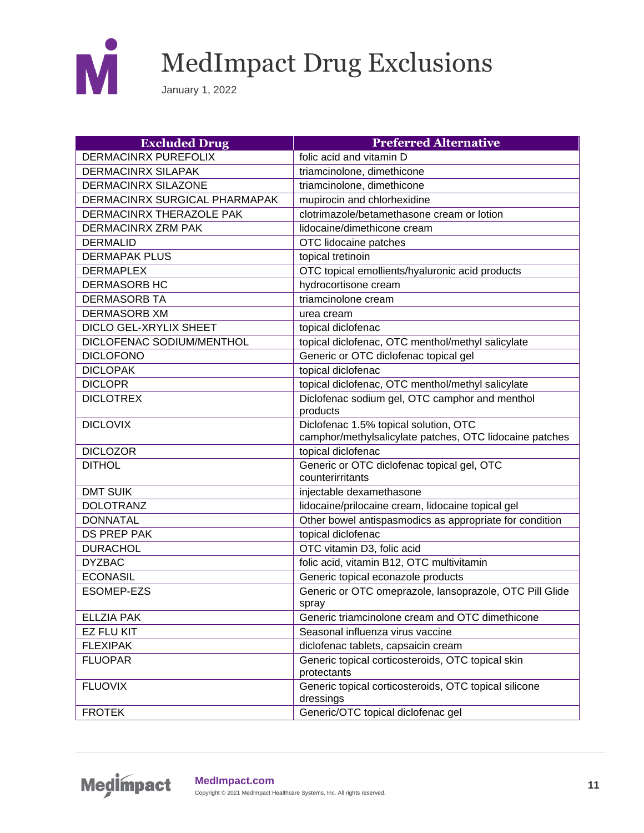

| <b>Excluded Drug</b>            | <b>Preferred Alternative</b>                             |
|---------------------------------|----------------------------------------------------------|
| <b>DERMACINRX PUREFOLIX</b>     | folic acid and vitamin D                                 |
| <b>DERMACINRX SILAPAK</b>       | triamcinolone, dimethicone                               |
| <b>DERMACINRX SILAZONE</b>      | triamcinolone, dimethicone                               |
| DERMACINRX SURGICAL PHARMAPAK   | mupirocin and chlorhexidine                              |
| <b>DERMACINRX THERAZOLE PAK</b> | clotrimazole/betamethasone cream or lotion               |
| <b>DERMACINRX ZRM PAK</b>       | lidocaine/dimethicone cream                              |
| <b>DERMALID</b>                 | OTC lidocaine patches                                    |
| <b>DERMAPAK PLUS</b>            | topical tretinoin                                        |
| <b>DERMAPLEX</b>                | OTC topical emollients/hyaluronic acid products          |
| <b>DERMASORB HC</b>             | hydrocortisone cream                                     |
| <b>DERMASORB TA</b>             | triamcinolone cream                                      |
| <b>DERMASORB XM</b>             | urea cream                                               |
| DICLO GEL-XRYLIX SHEET          | topical diclofenac                                       |
| DICLOFENAC SODIUM/MENTHOL       | topical diclofenac, OTC menthol/methyl salicylate        |
| <b>DICLOFONO</b>                | Generic or OTC diclofenac topical gel                    |
| <b>DICLOPAK</b>                 | topical diclofenac                                       |
| <b>DICLOPR</b>                  | topical diclofenac, OTC menthol/methyl salicylate        |
| <b>DICLOTREX</b>                | Diclofenac sodium gel, OTC camphor and menthol           |
|                                 | products                                                 |
| <b>DICLOVIX</b>                 | Diclofenac 1.5% topical solution, OTC                    |
|                                 | camphor/methylsalicylate patches, OTC lidocaine patches  |
| <b>DICLOZOR</b>                 | topical diclofenac                                       |
| <b>DITHOL</b>                   | Generic or OTC diclofenac topical gel, OTC               |
|                                 | counterirritants                                         |
| <b>DMT SUIK</b>                 | injectable dexamethasone                                 |
| <b>DOLOTRANZ</b>                | lidocaine/prilocaine cream, lidocaine topical gel        |
| <b>DONNATAL</b>                 | Other bowel antispasmodics as appropriate for condition  |
| <b>DS PREP PAK</b>              | topical diclofenac                                       |
| <b>DURACHOL</b>                 | OTC vitamin D3, folic acid                               |
| <b>DYZBAC</b>                   | folic acid, vitamin B12, OTC multivitamin                |
| <b>ECONASIL</b>                 | Generic topical econazole products                       |
| <b>ESOMEP-EZS</b>               | Generic or OTC omeprazole, lansoprazole, OTC Pill Glide  |
| <b>ELLZIA PAK</b>               | spray<br>Generic triamcinolone cream and OTC dimethicone |
| <b>EZ FLU KIT</b>               | Seasonal influenza virus vaccine                         |
| <b>FLEXIPAK</b>                 | diclofenac tablets, capsaicin cream                      |
| <b>FLUOPAR</b>                  | Generic topical corticosteroids, OTC topical skin        |
|                                 | protectants                                              |
| <b>FLUOVIX</b>                  | Generic topical corticosteroids, OTC topical silicone    |
|                                 | dressings                                                |
| <b>FROTEK</b>                   | Generic/OTC topical diclofenac gel                       |

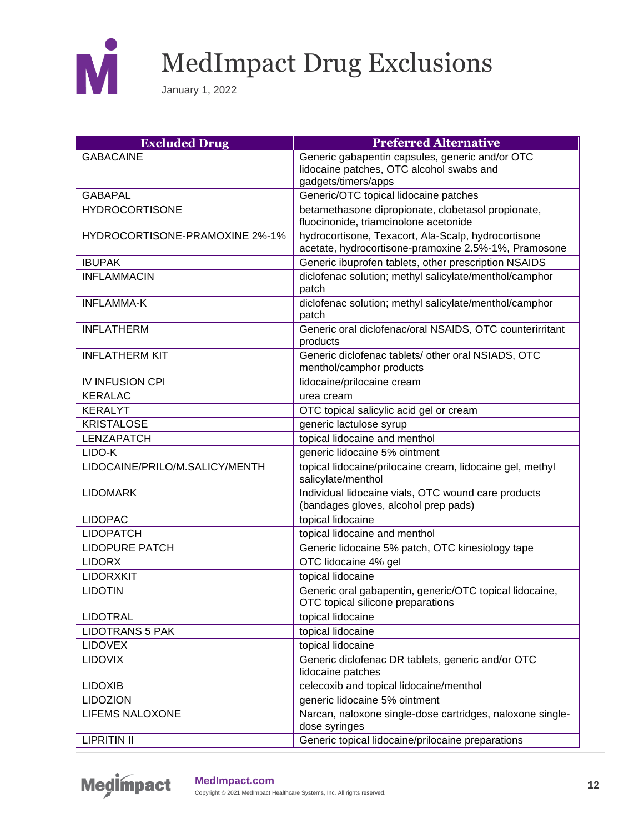

| <b>Excluded Drug</b>           | <b>Preferred Alternative</b>                                                                                |
|--------------------------------|-------------------------------------------------------------------------------------------------------------|
| <b>GABACAINE</b>               | Generic gabapentin capsules, generic and/or OTC                                                             |
|                                | lidocaine patches, OTC alcohol swabs and                                                                    |
|                                | gadgets/timers/apps                                                                                         |
| <b>GABAPAL</b>                 | Generic/OTC topical lidocaine patches                                                                       |
| <b>HYDROCORTISONE</b>          | betamethasone dipropionate, clobetasol propionate,<br>fluocinonide, triamcinolone acetonide                 |
| HYDROCORTISONE-PRAMOXINE 2%-1% | hydrocortisone, Texacort, Ala-Scalp, hydrocortisone<br>acetate, hydrocortisone-pramoxine 2.5%-1%, Pramosone |
| <b>IBUPAK</b>                  | Generic ibuprofen tablets, other prescription NSAIDS                                                        |
| <b>INFLAMMACIN</b>             | diclofenac solution; methyl salicylate/menthol/camphor                                                      |
|                                | patch                                                                                                       |
| <b>INFLAMMA-K</b>              | diclofenac solution; methyl salicylate/menthol/camphor<br>patch                                             |
| <b>INFLATHERM</b>              | Generic oral diclofenac/oral NSAIDS, OTC counterirritant                                                    |
|                                | products                                                                                                    |
| <b>INFLATHERM KIT</b>          | Generic diclofenac tablets/ other oral NSIADS, OTC<br>menthol/camphor products                              |
| <b>IV INFUSION CPI</b>         | lidocaine/prilocaine cream                                                                                  |
| <b>KERALAC</b>                 | urea cream                                                                                                  |
| <b>KERALYT</b>                 | OTC topical salicylic acid gel or cream                                                                     |
| <b>KRISTALOSE</b>              | generic lactulose syrup                                                                                     |
| <b>LENZAPATCH</b>              | topical lidocaine and menthol                                                                               |
| LIDO-K                         | generic lidocaine 5% ointment                                                                               |
| LIDOCAINE/PRILO/M.SALICY/MENTH | topical lidocaine/prilocaine cream, lidocaine gel, methyl<br>salicylate/menthol                             |
| <b>LIDOMARK</b>                | Individual lidocaine vials, OTC wound care products<br>(bandages gloves, alcohol prep pads)                 |
| <b>LIDOPAC</b>                 | topical lidocaine                                                                                           |
| <b>LIDOPATCH</b>               | topical lidocaine and menthol                                                                               |
| <b>LIDOPURE PATCH</b>          | Generic lidocaine 5% patch, OTC kinesiology tape                                                            |
| <b>LIDORX</b>                  | OTC lidocaine 4% gel                                                                                        |
| <b>LIDORXKIT</b>               | topical lidocaine                                                                                           |
| <b>LIDOTIN</b>                 | Generic oral gabapentin, generic/OTC topical lidocaine,<br>OTC topical silicone preparations                |
| <b>LIDOTRAL</b>                | topical lidocaine                                                                                           |
| <b>LIDOTRANS 5 PAK</b>         | topical lidocaine                                                                                           |
| LIDOVEX                        | topical lidocaine                                                                                           |
| <b>LIDOVIX</b>                 | Generic diclofenac DR tablets, generic and/or OTC<br>lidocaine patches                                      |
| <b>LIDOXIB</b>                 | celecoxib and topical lidocaine/menthol                                                                     |
| <b>LIDOZION</b>                | generic lidocaine 5% ointment                                                                               |
| <b>LIFEMS NALOXONE</b>         | Narcan, naloxone single-dose cartridges, naloxone single-<br>dose syringes                                  |
| <b>LIPRITIN II</b>             | Generic topical lidocaine/prilocaine preparations                                                           |

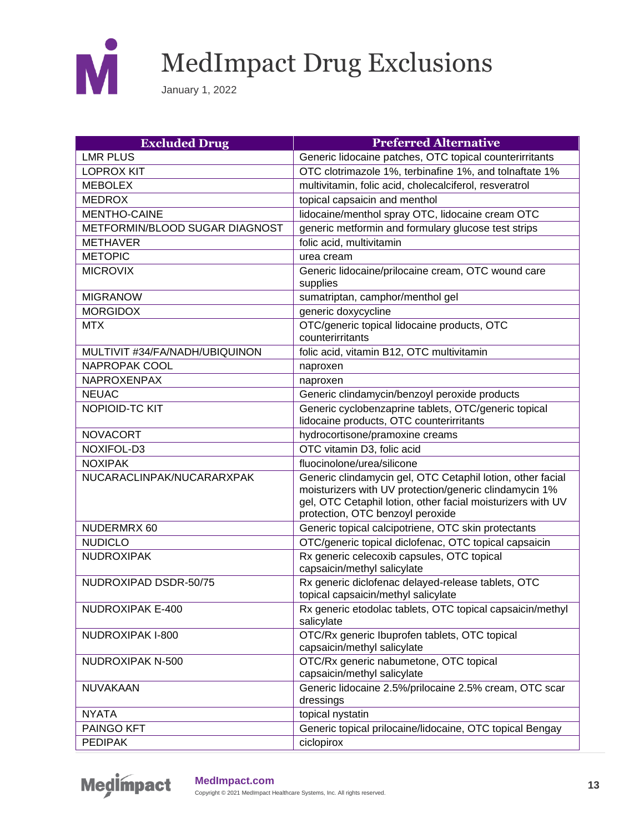

| <b>Excluded Drug</b>           | <b>Preferred Alternative</b>                                                                                                                                                                                            |
|--------------------------------|-------------------------------------------------------------------------------------------------------------------------------------------------------------------------------------------------------------------------|
| <b>LMR PLUS</b>                | Generic lidocaine patches, OTC topical counterirritants                                                                                                                                                                 |
| <b>LOPROX KIT</b>              | OTC clotrimazole 1%, terbinafine 1%, and tolnaftate 1%                                                                                                                                                                  |
| <b>MEBOLEX</b>                 | multivitamin, folic acid, cholecalciferol, resveratrol                                                                                                                                                                  |
| <b>MEDROX</b>                  | topical capsaicin and menthol                                                                                                                                                                                           |
| <b>MENTHO-CAINE</b>            | lidocaine/menthol spray OTC, lidocaine cream OTC                                                                                                                                                                        |
| METFORMIN/BLOOD SUGAR DIAGNOST | generic metformin and formulary glucose test strips                                                                                                                                                                     |
| <b>METHAVER</b>                | folic acid, multivitamin                                                                                                                                                                                                |
| <b>METOPIC</b>                 | urea cream                                                                                                                                                                                                              |
| <b>MICROVIX</b>                | Generic lidocaine/prilocaine cream, OTC wound care                                                                                                                                                                      |
|                                | supplies                                                                                                                                                                                                                |
| <b>MIGRANOW</b>                | sumatriptan, camphor/menthol gel                                                                                                                                                                                        |
| <b>MORGIDOX</b>                | generic doxycycline                                                                                                                                                                                                     |
| <b>MTX</b>                     | OTC/generic topical lidocaine products, OTC<br>counterirritants                                                                                                                                                         |
| MULTIVIT #34/FA/NADH/UBIQUINON | folic acid, vitamin B12, OTC multivitamin                                                                                                                                                                               |
| <b>NAPROPAK COOL</b>           | naproxen                                                                                                                                                                                                                |
| NAPROXENPAX                    | naproxen                                                                                                                                                                                                                |
| <b>NEUAC</b>                   | Generic clindamycin/benzoyl peroxide products                                                                                                                                                                           |
| NOPIOID-TC KIT                 | Generic cyclobenzaprine tablets, OTC/generic topical<br>lidocaine products, OTC counterirritants                                                                                                                        |
| <b>NOVACORT</b>                | hydrocortisone/pramoxine creams                                                                                                                                                                                         |
| NOXIFOL-D3                     | OTC vitamin D3, folic acid                                                                                                                                                                                              |
| <b>NOXIPAK</b>                 | fluocinolone/urea/silicone                                                                                                                                                                                              |
| NUCARACLINPAK/NUCARARXPAK      | Generic clindamycin gel, OTC Cetaphil lotion, other facial<br>moisturizers with UV protection/generic clindamycin 1%<br>gel, OTC Cetaphil lotion, other facial moisturizers with UV<br>protection, OTC benzoyl peroxide |
| NUDERMRX 60                    | Generic topical calcipotriene, OTC skin protectants                                                                                                                                                                     |
| <b>NUDICLO</b>                 | OTC/generic topical diclofenac, OTC topical capsaicin                                                                                                                                                                   |
| <b>NUDROXIPAK</b>              | Rx generic celecoxib capsules, OTC topical<br>capsaicin/methyl salicylate                                                                                                                                               |
| NUDROXIPAD DSDR-50/75          | Rx generic diclofenac delayed-release tablets, OTC<br>topical capsaicin/methyl salicylate                                                                                                                               |
| NUDROXIPAK E-400               | Rx generic etodolac tablets, OTC topical capsaicin/methyl<br>salicylate                                                                                                                                                 |
| NUDROXIPAK I-800               | OTC/Rx generic Ibuprofen tablets, OTC topical<br>capsaicin/methyl salicylate                                                                                                                                            |
| NUDROXIPAK N-500               | OTC/Rx generic nabumetone, OTC topical<br>capsaicin/methyl salicylate                                                                                                                                                   |
| NUVAKAAN                       | Generic lidocaine 2.5%/prilocaine 2.5% cream, OTC scar<br>dressings                                                                                                                                                     |
| <b>NYATA</b>                   | topical nystatin                                                                                                                                                                                                        |
| PAINGO KFT                     | Generic topical prilocaine/lidocaine, OTC topical Bengay                                                                                                                                                                |
| <b>PEDIPAK</b>                 | ciclopirox                                                                                                                                                                                                              |

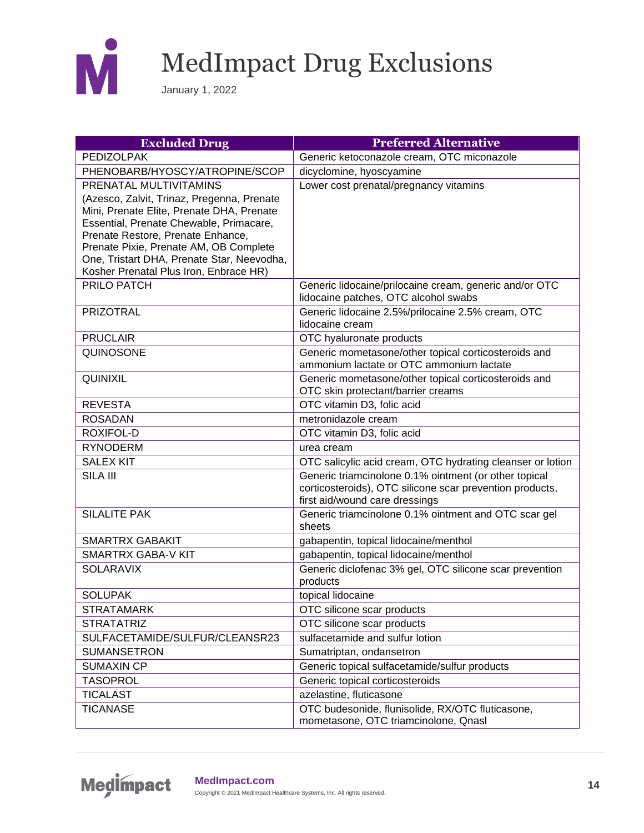

| <b>Excluded Drug</b>                                                         | <b>Preferred Alternative</b>                                                               |
|------------------------------------------------------------------------------|--------------------------------------------------------------------------------------------|
| <b>PEDIZOLPAK</b>                                                            | Generic ketoconazole cream, OTC miconazole                                                 |
| PHENOBARB/HYOSCY/ATROPINE/SCOP                                               | dicyclomine, hyoscyamine                                                                   |
| PRENATAL MULTIVITAMINS                                                       | Lower cost prenatal/pregnancy vitamins                                                     |
| (Azesco, Zalvit, Trinaz, Pregenna, Prenate                                   |                                                                                            |
| Mini, Prenate Elite, Prenate DHA, Prenate                                    |                                                                                            |
| Essential, Prenate Chewable, Primacare,<br>Prenate Restore, Prenate Enhance, |                                                                                            |
| Prenate Pixie, Prenate AM, OB Complete                                       |                                                                                            |
| One, Tristart DHA, Prenate Star, Neevodha,                                   |                                                                                            |
| Kosher Prenatal Plus Iron, Enbrace HR)                                       |                                                                                            |
| PRILO PATCH                                                                  | Generic lidocaine/prilocaine cream, generic and/or OTC                                     |
|                                                                              | lidocaine patches, OTC alcohol swabs                                                       |
| <b>PRIZOTRAL</b>                                                             | Generic lidocaine 2.5%/prilocaine 2.5% cream, OTC                                          |
|                                                                              | lidocaine cream                                                                            |
| <b>PRUCLAIR</b>                                                              | OTC hyaluronate products                                                                   |
| QUINOSONE                                                                    | Generic mometasone/other topical corticosteroids and                                       |
|                                                                              | ammonium lactate or OTC ammonium lactate                                                   |
| QUINIXIL                                                                     | Generic mometasone/other topical corticosteroids and<br>OTC skin protectant/barrier creams |
| <b>REVESTA</b>                                                               | OTC vitamin D3, folic acid                                                                 |
| <b>ROSADAN</b>                                                               | metronidazole cream                                                                        |
| <b>ROXIFOL-D</b>                                                             | OTC vitamin D3, folic acid                                                                 |
| <b>RYNODERM</b>                                                              | urea cream                                                                                 |
| <b>SALEX KIT</b>                                                             | OTC salicylic acid cream, OTC hydrating cleanser or lotion                                 |
| SILA III                                                                     | Generic triamcinolone 0.1% ointment (or other topical                                      |
|                                                                              | corticosteroids), OTC silicone scar prevention products,                                   |
|                                                                              | first aid/wound care dressings                                                             |
| <b>SILALITE PAK</b>                                                          | Generic triamcinolone 0.1% ointment and OTC scar gel                                       |
|                                                                              | sheets                                                                                     |
| <b>SMARTRX GABAKIT</b>                                                       | gabapentin, topical lidocaine/menthol                                                      |
| <b>SMARTRX GABA-V KIT</b>                                                    | gabapentin, topical lidocaine/menthol                                                      |
| <b>SOLARAVIX</b>                                                             | Generic diclofenac 3% gel, OTC silicone scar prevention                                    |
|                                                                              | products                                                                                   |
| <b>SOLUPAK</b>                                                               | topical lidocaine                                                                          |
| <b>STRATAMARK</b>                                                            | OTC silicone scar products                                                                 |
| <b>STRATATRIZ</b>                                                            | OTC silicone scar products                                                                 |
| SULFACETAMIDE/SULFUR/CLEANSR23                                               | sulfacetamide and sulfur lotion                                                            |
| <b>SUMANSETRON</b>                                                           | Sumatriptan, ondansetron                                                                   |
| <b>SUMAXIN CP</b>                                                            | Generic topical sulfacetamide/sulfur products                                              |
| <b>TASOPROL</b>                                                              | Generic topical corticosteroids                                                            |
| <b>TICALAST</b>                                                              | azelastine, fluticasone                                                                    |
| <b>TICANASE</b>                                                              | OTC budesonide, flunisolide, RX/OTC fluticasone,<br>mometasone, OTC triamcinolone, Qnasl   |